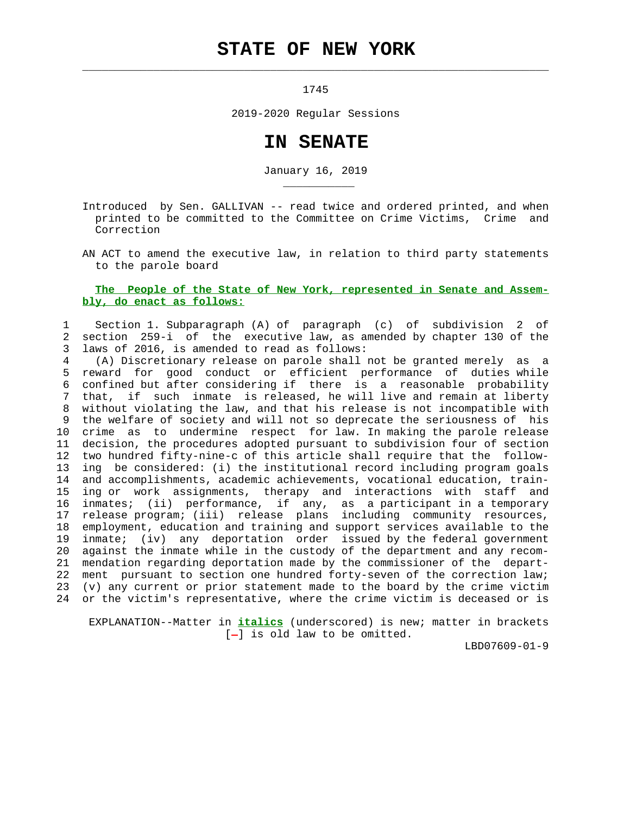## **STATE OF NEW YORK**

 $\mathcal{L}_\text{max} = \frac{1}{2} \sum_{i=1}^{n} \frac{1}{2} \sum_{i=1}^{n} \frac{1}{2} \sum_{i=1}^{n} \frac{1}{2} \sum_{i=1}^{n} \frac{1}{2} \sum_{i=1}^{n} \frac{1}{2} \sum_{i=1}^{n} \frac{1}{2} \sum_{i=1}^{n} \frac{1}{2} \sum_{i=1}^{n} \frac{1}{2} \sum_{i=1}^{n} \frac{1}{2} \sum_{i=1}^{n} \frac{1}{2} \sum_{i=1}^{n} \frac{1}{2} \sum_{i=1}^{n} \frac{1$ 

\_\_\_\_\_\_\_\_\_\_\_

1745

2019-2020 Regular Sessions

## **IN SENATE**

January 16, 2019

 Introduced by Sen. GALLIVAN -- read twice and ordered printed, and when printed to be committed to the Committee on Crime Victims, Crime and Correction

 AN ACT to amend the executive law, in relation to third party statements to the parole board

## **The People of the State of New York, represented in Senate and Assem bly, do enact as follows:**

 1 Section 1. Subparagraph (A) of paragraph (c) of subdivision 2 of 2 section 259-i of the executive law, as amended by chapter 130 of the 3 laws of 2016, is amended to read as follows:

 4 (A) Discretionary release on parole shall not be granted merely as a 5 reward for good conduct or efficient performance of duties while 6 confined but after considering if there is a reasonable probability 7 that, if such inmate is released, he will live and remain at liberty 8 without violating the law, and that his release is not incompatible with 9 the welfare of society and will not so deprecate the seriousness of his 10 crime as to undermine respect for law. In making the parole release 11 decision, the procedures adopted pursuant to subdivision four of section 12 two hundred fifty-nine-c of this article shall require that the follow- 13 ing be considered: (i) the institutional record including program goals 14 and accomplishments, academic achievements, vocational education, train- 15 ing or work assignments, therapy and interactions with staff and 16 inmates; (ii) performance, if any, as a participant in a temporary 17 release program; (iii) release plans including community resources, 18 employment, education and training and support services available to the 19 inmate; (iv) any deportation order issued by the federal government 20 against the inmate while in the custody of the department and any recom- 21 mendation regarding deportation made by the commissioner of the depart- 22 ment pursuant to section one hundred forty-seven of the correction law; 23 (v) any current or prior statement made to the board by the crime victim 24 or the victim's representative, where the crime victim is deceased or is

 EXPLANATION--Matter in **italics** (underscored) is new; matter in brackets  $[-]$  is old law to be omitted.

LBD07609-01-9